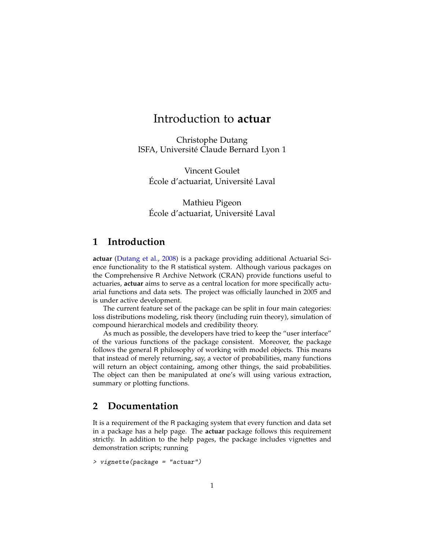# Introduction to **actuar**

Christophe Dutang ISFA, Université Claude Bernard Lyon 1

Vincent Goulet École d'actuariat, Université Laval

Mathieu Pigeon École d'actuariat, Université Laval

## **1 Introduction**

**actuar** [\(Dutang et al.,](#page-1-0) [2008\)](#page-1-0) is a package providing additional Actuarial Science functionality to the R statistical system. Although various packages on the Comprehensive R Archive Network (CRAN) provide functions useful to actuaries, **actuar** aims to serve as a central location for more specifically actuarial functions and data sets. The project was officially launched in 2005 and is under active development.

The current feature set of the package can be split in four main categories: loss distributions modeling, risk theory (including ruin theory), simulation of compound hierarchical models and credibility theory.

As much as possible, the developers have tried to keep the "user interface" of the various functions of the package consistent. Moreover, the package follows the general R philosophy of working with model objects. This means that instead of merely returning, say, a vector of probabilities, many functions will return an object containing, among other things, the said probabilities. The object can then be manipulated at one's will using various extraction, summary or plotting functions.

#### **2 Documentation**

It is a requirement of the R packaging system that every function and data set in a package has a help page. The **actuar** package follows this requirement strictly. In addition to the help pages, the package includes vignettes and demonstration scripts; running

```
> vignette(package = "actuar")
```